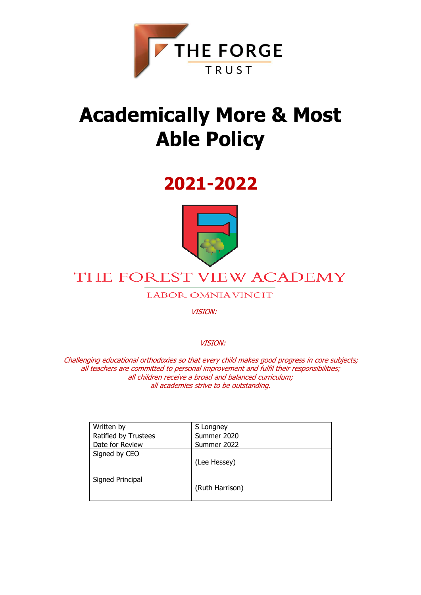

# **Academically More & Most Able Policy**

# **2021-2022**



# THE FOREST VIEW ACADEMY

**LABOR OMNIAVINCIT** 

VISION:

VISION:

Challenging educational orthodoxies so that every child makes good progress in core subjects; all teachers are committed to personal improvement and fulfil their responsibilities; all children receive a broad and balanced curriculum; all academies strive to be outstanding.

| Written by           | S Longney       |
|----------------------|-----------------|
| Ratified by Trustees | Summer 2020     |
| Date for Review      | Summer 2022     |
| Signed by CEO        | (Lee Hessey)    |
| Signed Principal     | (Ruth Harrison) |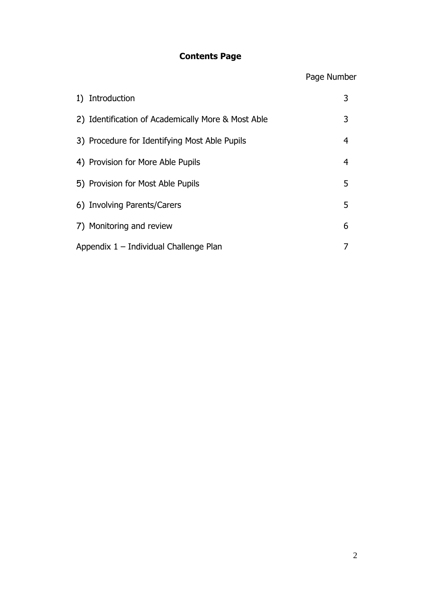### **Contents Page**

## Page Number

| 1) Introduction                                    | 3 |
|----------------------------------------------------|---|
| 2) Identification of Academically More & Most Able | 3 |
| 3) Procedure for Identifying Most Able Pupils      | 4 |
| 4) Provision for More Able Pupils                  | 4 |
| 5) Provision for Most Able Pupils                  | 5 |
| 6) Involving Parents/Carers                        | 5 |
| 7) Monitoring and review                           | 6 |
| Appendix 1 - Individual Challenge Plan             |   |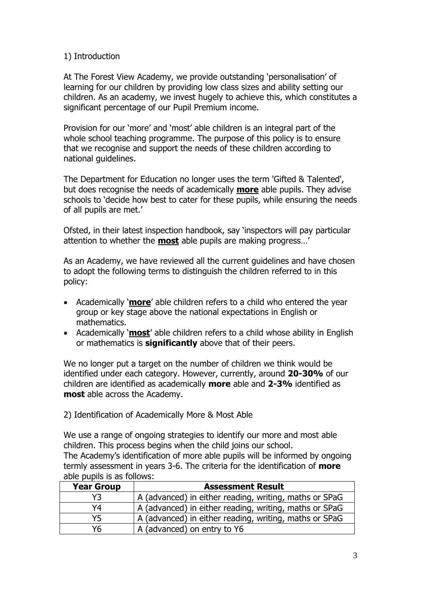#### 1) Introduction

At The Forest View Academy, we provide outstanding 'personalisation' of learning for our children by providing low class sizes and ability setting our children. As an academy, we invest hugely to achieve this, which constitutes a significant percentage of our Pupil Premium income.

Provision for our 'more' and 'most' able children is an integral part of the whole school teaching programme. The purpose of this policy is to ensure that we recognise and support the needs of these children according to national guidelines.

The Department for Education no longer uses the term 'Gifted & Talented', but does recognise the needs of academically **more** able pupils. They advise schools to 'decide how best to cater for these pupils, while ensuring the needs of all pupils are met.'

Ofsted, in their latest inspection handbook, say 'inspectors will pay particular attention to whether the **most** able pupils are making progress…'

As an Academy, we have reviewed all the current guidelines and have chosen to adopt the following terms to distinguish the children referred to in this policy:

- Academically '**more**' able children refers to a child who entered the year group or key stage above the national expectations in English or mathematics.
- Academically '**most**' able children refers to a child whose ability in English or mathematics is **significantly** above that of their peers.

We no longer put a target on the number of children we think would be identified under each category. However, currently, around **20-30%** of our children are identified as academically **more** able and **2-3%** identified as **most** able across the Academy.

2) Identification of Academically More & Most Able

We use a range of ongoing strategies to identify our more and most able children. This process begins when the child joins our school. The Academy's identification of more able pupils will be informed by ongoing termly assessment in years 3-6. The criteria for the identification of **more** able pupils is as follows:

| <b>Year Group</b> | <b>Assessment Result</b>                               |  |  |  |  |
|-------------------|--------------------------------------------------------|--|--|--|--|
| Y3.               | A (advanced) in either reading, writing, maths or SPaG |  |  |  |  |
| Y4                | A (advanced) in either reading, writing, maths or SPaG |  |  |  |  |
| Y5                | A (advanced) in either reading, writing, maths or SPaG |  |  |  |  |
| Yհ                | A (advanced) on entry to Y6                            |  |  |  |  |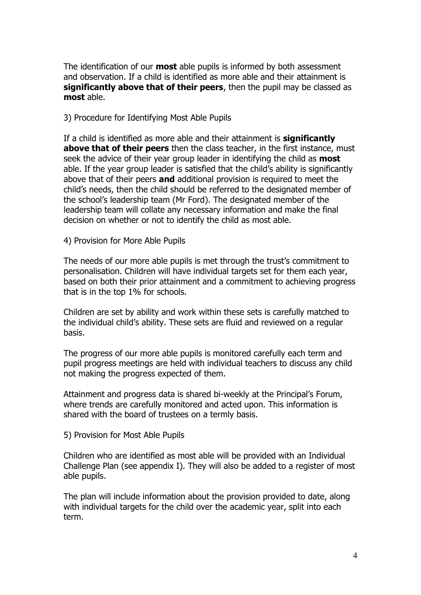The identification of our **most** able pupils is informed by both assessment and observation. If a child is identified as more able and their attainment is **significantly above that of their peers**, then the pupil may be classed as **most** able.

#### 3) Procedure for Identifying Most Able Pupils

If a child is identified as more able and their attainment is **significantly above that of their peers** then the class teacher, in the first instance, must seek the advice of their year group leader in identifying the child as **most** able. If the year group leader is satisfied that the child's ability is significantly above that of their peers **and** additional provision is required to meet the child's needs, then the child should be referred to the designated member of the school's leadership team (Mr Ford). The designated member of the leadership team will collate any necessary information and make the final decision on whether or not to identify the child as most able.

#### 4) Provision for More Able Pupils

The needs of our more able pupils is met through the trust's commitment to personalisation. Children will have individual targets set for them each year, based on both their prior attainment and a commitment to achieving progress that is in the top 1% for schools.

Children are set by ability and work within these sets is carefully matched to the individual child's ability. These sets are fluid and reviewed on a regular basis.

The progress of our more able pupils is monitored carefully each term and pupil progress meetings are held with individual teachers to discuss any child not making the progress expected of them.

Attainment and progress data is shared bi-weekly at the Principal's Forum, where trends are carefully monitored and acted upon. This information is shared with the board of trustees on a termly basis.

5) Provision for Most Able Pupils

Children who are identified as most able will be provided with an Individual Challenge Plan (see appendix I). They will also be added to a register of most able pupils.

The plan will include information about the provision provided to date, along with individual targets for the child over the academic year, split into each term.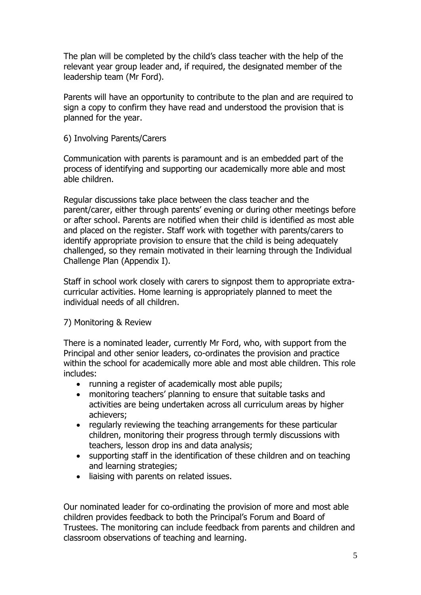The plan will be completed by the child's class teacher with the help of the relevant year group leader and, if required, the designated member of the leadership team (Mr Ford).

Parents will have an opportunity to contribute to the plan and are required to sign a copy to confirm they have read and understood the provision that is planned for the year.

#### 6) Involving Parents/Carers

Communication with parents is paramount and is an embedded part of the process of identifying and supporting our academically more able and most able children.

Regular discussions take place between the class teacher and the parent/carer, either through parents' evening or during other meetings before or after school. Parents are notified when their child is identified as most able and placed on the register. Staff work with together with parents/carers to identify appropriate provision to ensure that the child is being adequately challenged, so they remain motivated in their learning through the Individual Challenge Plan (Appendix I).

Staff in school work closely with carers to signpost them to appropriate extracurricular activities. Home learning is appropriately planned to meet the individual needs of all children.

#### 7) Monitoring & Review

There is a nominated leader, currently Mr Ford, who, with support from the Principal and other senior leaders, co-ordinates the provision and practice within the school for academically more able and most able children. This role includes:

- running a register of academically most able pupils;
- monitoring teachers' planning to ensure that suitable tasks and activities are being undertaken across all curriculum areas by higher achievers;
- regularly reviewing the teaching arrangements for these particular children, monitoring their progress through termly discussions with teachers, lesson drop ins and data analysis;
- supporting staff in the identification of these children and on teaching and learning strategies;
- liaising with parents on related issues.

Our nominated leader for co-ordinating the provision of more and most able children provides feedback to both the Principal's Forum and Board of Trustees. The monitoring can include feedback from parents and children and classroom observations of teaching and learning.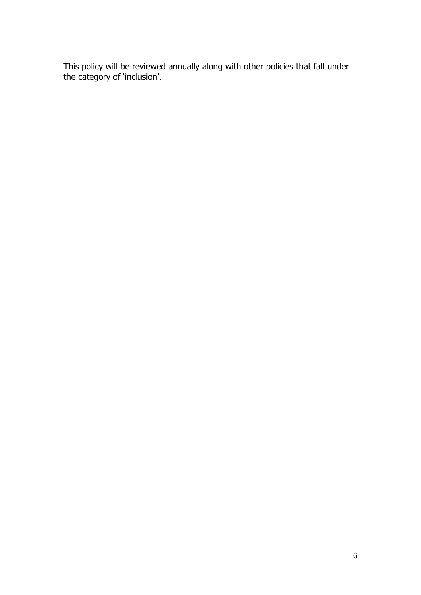This policy will be reviewed annually along with other policies that fall under the category of 'inclusion'.